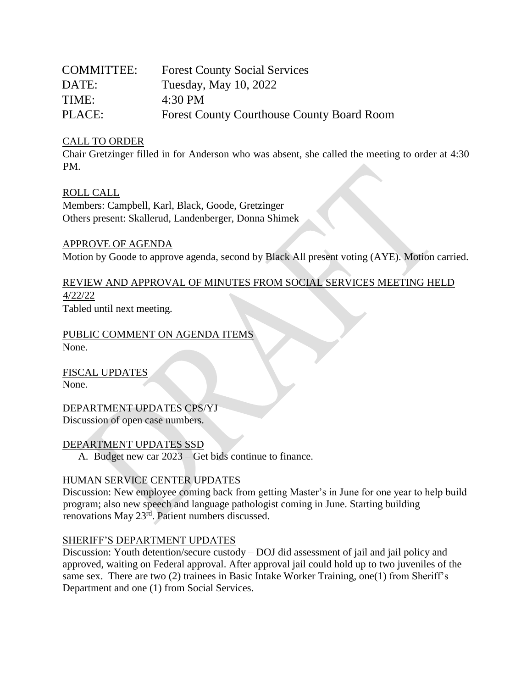| <b>COMMITTEE:</b> | <b>Forest County Social Services</b>              |
|-------------------|---------------------------------------------------|
| DATE:             | Tuesday, May 10, 2022                             |
| TIME:             | $4:30 \text{ PM}$                                 |
| PLACE:            | <b>Forest County Courthouse County Board Room</b> |

# CALL TO ORDER

Chair Gretzinger filled in for Anderson who was absent, she called the meeting to order at 4:30 PM.

#### ROLL CALL

Members: Campbell, Karl, Black, Goode, Gretzinger Others present: Skallerud, Landenberger, Donna Shimek

#### APPROVE OF AGENDA

Motion by Goode to approve agenda, second by Black All present voting (AYE). Motion carried.

# REVIEW AND APPROVAL OF MINUTES FROM SOCIAL SERVICES MEETING HELD

4/22/22

Tabled until next meeting.

PUBLIC COMMENT ON AGENDA ITEMS None.

FISCAL UPDATES None.

DEPARTMENT UPDATES CPS/YJ

Discussion of open case numbers.

### DEPARTMENT UPDATES SSD

A. Budget new car 2023 – Get bids continue to finance.

### HUMAN SERVICE CENTER UPDATES

Discussion: New employee coming back from getting Master's in June for one year to help build program; also new speech and language pathologist coming in June. Starting building renovations May 23<sup>rd</sup>. Patient numbers discussed.

### SHERIFF'S DEPARTMENT UPDATES

Discussion: Youth detention/secure custody – DOJ did assessment of jail and jail policy and approved, waiting on Federal approval. After approval jail could hold up to two juveniles of the same sex. There are two (2) trainees in Basic Intake Worker Training, one(1) from Sheriff's Department and one (1) from Social Services.